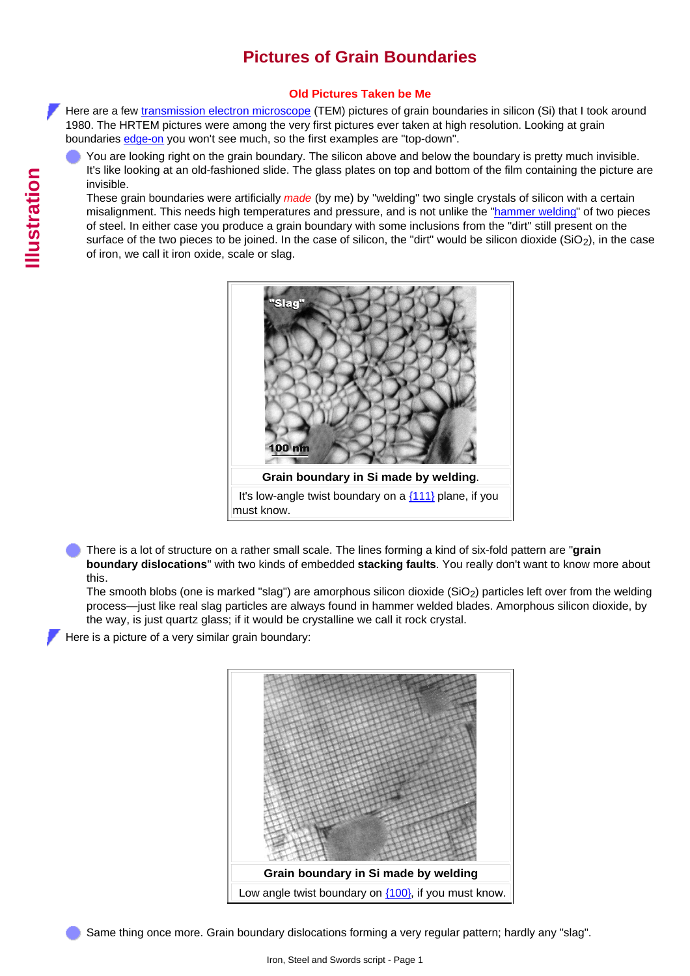## **Pictures of Grain Boundaries**

## **Old Pictures Taken be Me**

Here are a few [transmission electron microscope](http://www.tf.uni-kiel.de/matwis/amat/iss_dec_15_2021/kap_4/illustr/s4_1_1c.html) (TEM) pictures of grain boundaries in silicon (Si) that I took around 1980. The HRTEM pictures were among the very first pictures ever taken at high resolution. Looking at grain boundaries [edge-on](http://www.tf.uni-kiel.de/matwis/amat/iss_dec_15_2021/kap_5/backbone/r5_3_2.html#edge-on view; problems) you won't see much, so the first examples are "top-down".

You are looking right on the grain boundary. The silicon above and below the boundary is pretty much invisible. It's like looking at an old-fashioned slide. The glass plates on top and bottom of the film containing the picture are invisible.

<span id="page-0-1"></span>These grain boundaries were artificially *made* (by me) by "welding" two single crystals of silicon with a certain misalignment. This needs high temperatures and pressure, and is not unlike the ["hammer welding"](http://www.tf.uni-kiel.de/matwis/amat/iss_dec_15_2021/kap_6/backbone/r6_2_3.html#hammer welding) of two pieces of steel. In either case you produce a grain boundary with some inclusions from the "dirt" still present on the surface of the two pieces to be joined. In the case of silicon, the "dirt" would be silicon dioxide ( $SiO<sub>2</sub>$ ), in the case of iron, we call it iron oxide, scale or slag.



There is a lot of structure on a rather small scale. The lines forming a kind of six-fold pattern are "**grain boundary dislocations**" with two kinds of embedded **stacking faults**. You really don't want to know more about this.

The smooth blobs (one is marked "slag") are amorphous silicon dioxide (SiO2) particles left over from the welding process—just like real slag particles are always found in hammer welded blades. Amorphous silicon dioxide, by the way, is just quartz glass; if it would be crystalline we call it rock crystal.

<span id="page-0-0"></span>Here is a picture of a very similar grain boundary:



Same thing once more. Grain boundary dislocations forming a very regular pattern; hardly any "slag".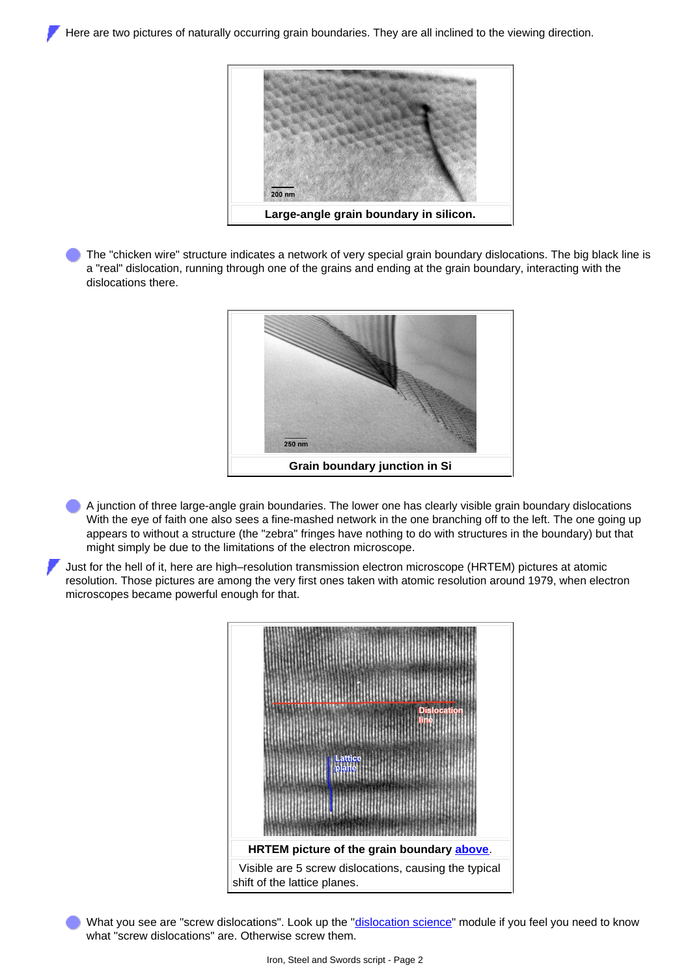

The "chicken wire" structure indicates a network of very special grain boundary dislocations. The big black line is a "real" dislocation, running through one of the grains and ending at the grain boundary, interacting with the dislocations there.



- A junction of three large-angle grain boundaries. The lower one has clearly visible grain boundary dislocations With the eye of faith one also sees a fine-mashed network in the one branching off to the left. The one going up appears to without a structure (the "zebra" fringes have nothing to do with structures in the boundary) but that might simply be due to the limitations of the electron microscope.
- Just for the hell of it, here are high–resolution transmission electron microscope (HRTEM) pictures at atomic resolution. Those pictures are among the very first ones taken with atomic resolution around 1979, when electron microscopes became powerful enough for that.



What you see are "screw dislocations". Look up the ["dislocation science"](http://www.tf.uni-kiel.de/matwis/amat/iss_dec_15_2021/kap_5/illustr/s5_4_1.html) module if you feel you need to know what "screw dislocations" are. Otherwise screw them.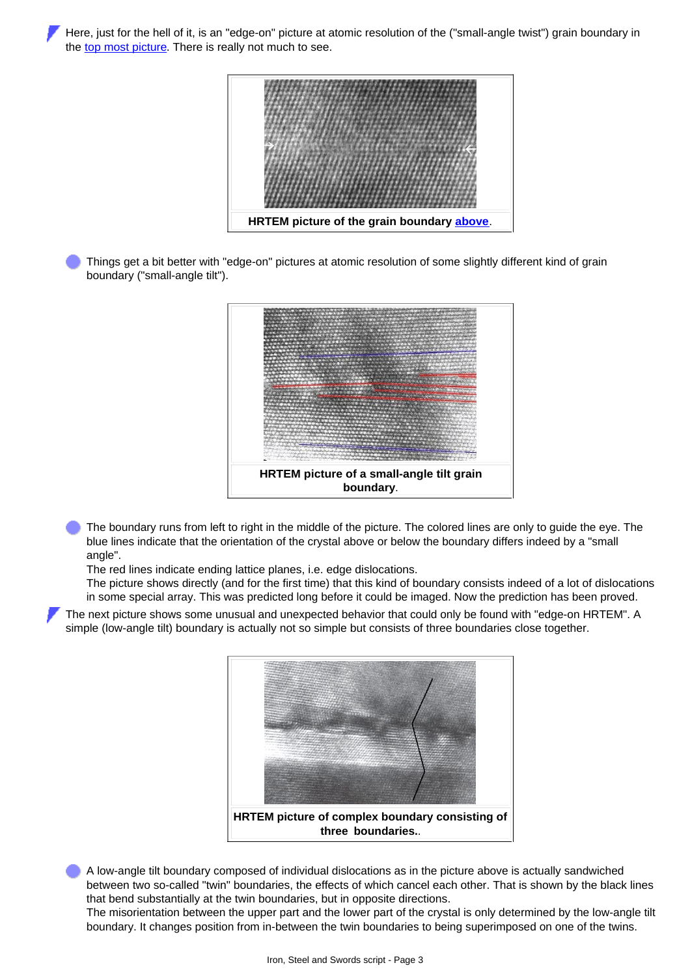Here, just for the hell of it, is an "edge-on" picture at atomic resolution of the ("small-angle twist") grain boundary in the [top most picture.](#page-0-1) There is really not much to see.



Things get a bit better with "edge-on" pictures at atomic resolution of some slightly different kind of grain boundary ("small-angle tilt").



The boundary runs from left to right in the middle of the picture. The colored lines are only to guide the eye. The blue lines indicate that the orientation of the crystal above or below the boundary differs indeed by a "small angle".

The red lines indicate ending lattice planes, i.e. edge dislocations.

The picture shows directly (and for the first time) that this kind of boundary consists indeed of a lot of dislocations in some special array. This was predicted long before it could be imaged. Now the prediction has been proved.

The next picture shows some unusual and unexpected behavior that could only be found with "edge-on HRTEM". A simple (low-angle tilt) boundary is actually not so simple but consists of three boundaries close together.



A low-angle tilt boundary composed of individual dislocations as in the picture above is actually sandwiched between two so-called "twin" boundaries, the effects of which cancel each other. That is shown by the black lines that bend substantially at the twin boundaries, but in opposite directions.

The misorientation between the upper part and the lower part of the crystal is only determined by the low-angle tilt boundary. It changes position from in-between the twin boundaries to being superimposed on one of the twins.